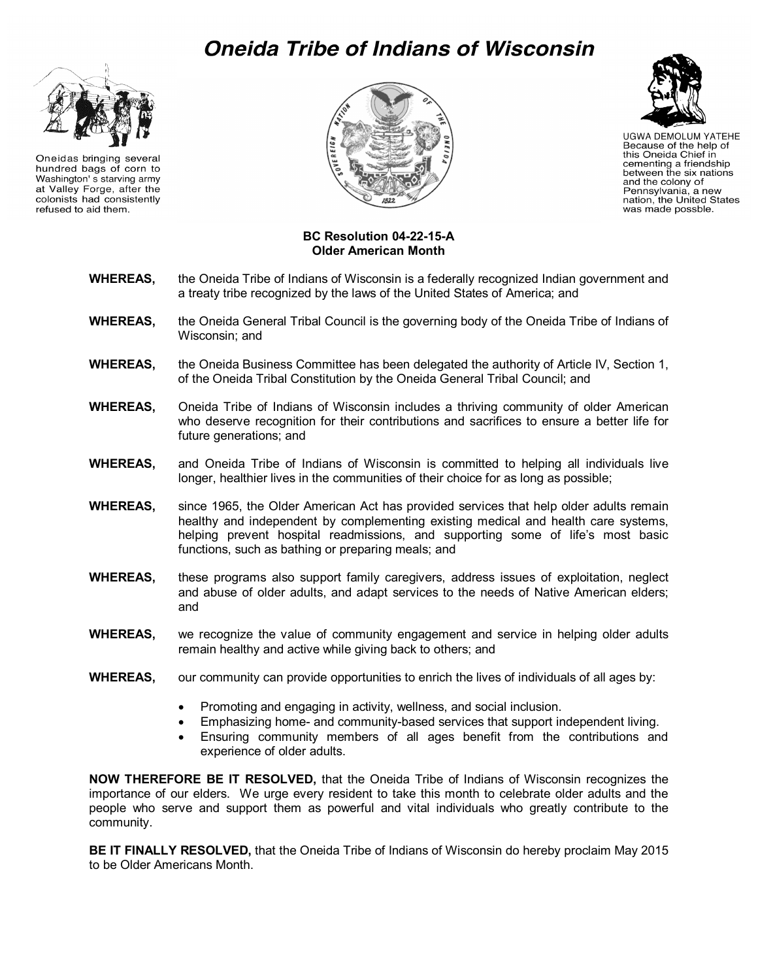## **Oneida Tribe of Indians of Wisconsin**



Oneidas bringing several hundred bags of corn to Washington's starving army at Valley Forge, after the colonists had consistently refused to aid them.



## **Older Americans Month Page 1 of 2**

**UGWA DEMOLUM YATEHE** Because of the help of<br>this Oneida Chief in cementing a friendship between the six nations and the colony of Pennsylvania, a new<br>nation, the United States was made possble.

## **BC Resolution 04-22-15-A Older American Month**

- **WHEREAS,** the Oneida Tribe of Indians of Wisconsin is a federally recognized Indian government and a treaty tribe recognized by the laws of the United States of America; and
- **WHEREAS,** the Oneida General Tribal Council is the governing body of the Oneida Tribe of Indians of Wisconsin; and
- **WHEREAS,** the Oneida Business Committee has been delegated the authority of Article IV, Section 1, of the Oneida Tribal Constitution by the Oneida General Tribal Council; and
- **WHEREAS,** Oneida Tribe of Indians of Wisconsin includes a thriving community of older American who deserve recognition for their contributions and sacrifices to ensure a better life for future generations; and
- **WHEREAS,** and Oneida Tribe of Indians of Wisconsin is committed to helping all individuals live longer, healthier lives in the communities of their choice for as long as possible;
- **WHEREAS,** since 1965, the Older American Act has provided services that help older adults remain healthy and independent by complementing existing medical and health care systems, helping prevent hospital readmissions, and supporting some of life's most basic functions, such as bathing or preparing meals; and
- **WHEREAS,** these programs also support family caregivers, address issues of exploitation, neglect and abuse of older adults, and adapt services to the needs of Native American elders; and
- **WHEREAS,** we recognize the value of community engagement and service in helping older adults remain healthy and active while giving back to others; and
- **WHEREAS,** our community can provide opportunities to enrich the lives of individuals of all ages by:
	- Promoting and engaging in activity, wellness, and social inclusion.
	- Emphasizing home- and community-based services that support independent living.
	- Ensuring community members of all ages benefit from the contributions and experience of older adults.

**NOW THEREFORE BE IT RESOLVED,** that the Oneida Tribe of Indians of Wisconsin recognizes the importance of our elders. We urge every resident to take this month to celebrate older adults and the people who serve and support them as powerful and vital individuals who greatly contribute to the community.

**BE IT FINALLY RESOLVED,** that the Oneida Tribe of Indians of Wisconsin do hereby proclaim May 2015 to be Older Americans Month.